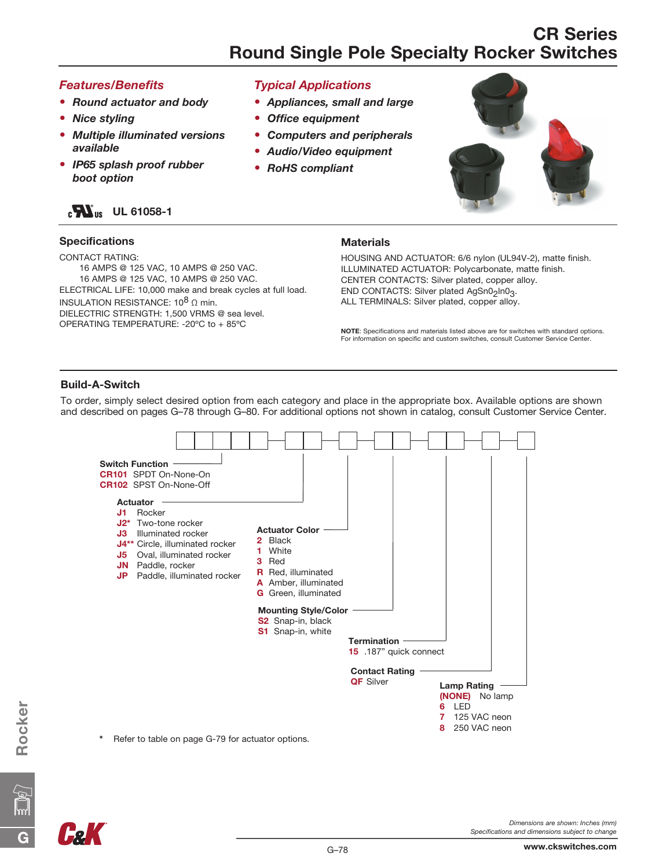### *Features/Benefits*

- *Round actuator and body*
- *Nice styling*
- • *Multiple illuminated versions available*
- • *IP65 splash proof rubber boot option*

### $_{c}$  M<sub>us</sub> UL 61058-1

### Specifications

CONTACT RATING:

16 AMPS @ 125 VAC, 10 AMPS @ 250 VAC. 16 AMPS @ 125 VAC, 10 AMPS @ 250 VAC. ELECTRICAL LIFE: 10,000 make and break cycles at full load.

INSULATION RESISTANCE:  $10^8$  Ω min. DIELECTRIC STRENGTH: 1,500 VRMS @ sea level. OPERATING TEMPERATURE: -20ºC to + 85ºC

### *Typical Applications*

- *Appliances, small and large*
- *Office equipment*
- *Computers and peripherals*
- *Audio/Video equipment*
- *RoHS compliant*



#### **Materials**

HOUSING AND ACTUATOR: 6/6 nylon (UL94V-2), matte finish. ILLUMINATED ACTUATOR: Polycarbonate, matte finish. CENTER CONTACTS: Silver plated, copper alloy. END CONTACTS: Silver plated AgSn0<sub>2</sub>ln0<sub>3</sub>. ALL TERMINALS: Silver plated, copper alloy.

NOTE: Specifications and materials listed above are for switches with standard options. For information on specific and custom switches, consult Customer Service Center.

#### Build-A-Switch

To order, simply select desired option from each category and place in the appropriate box. Available options are shown and described on pages G–78 through G–80. For additional options not shown in catalog, consult Customer Service Center.



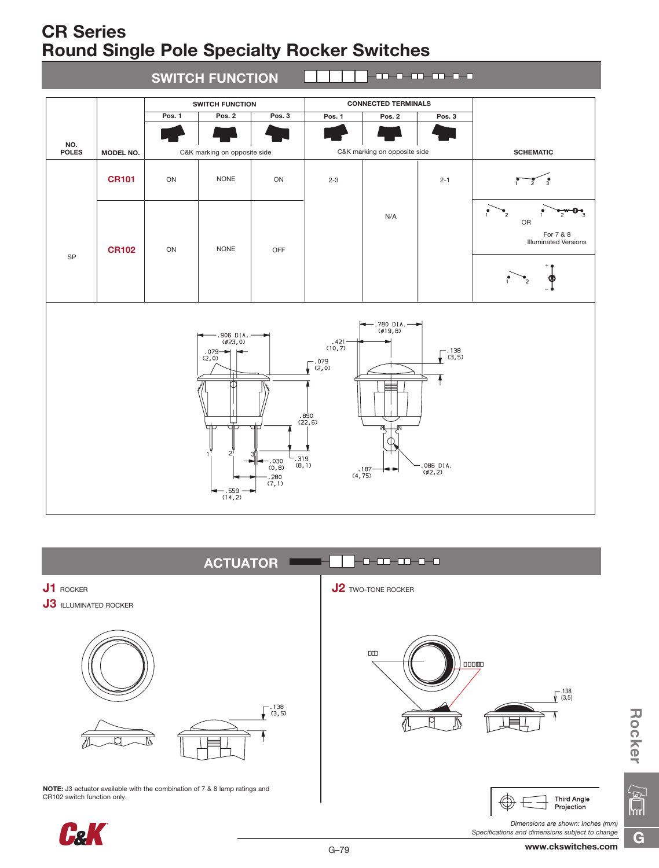



**Pel** 

*Dimensions are shown: Inches (mm) Specifications and dimensions subject to change* **ROCKER**<br>Rocker<br>B

 $\sqrt{\frac{2}{\pi}}$ 

G

**Rocker**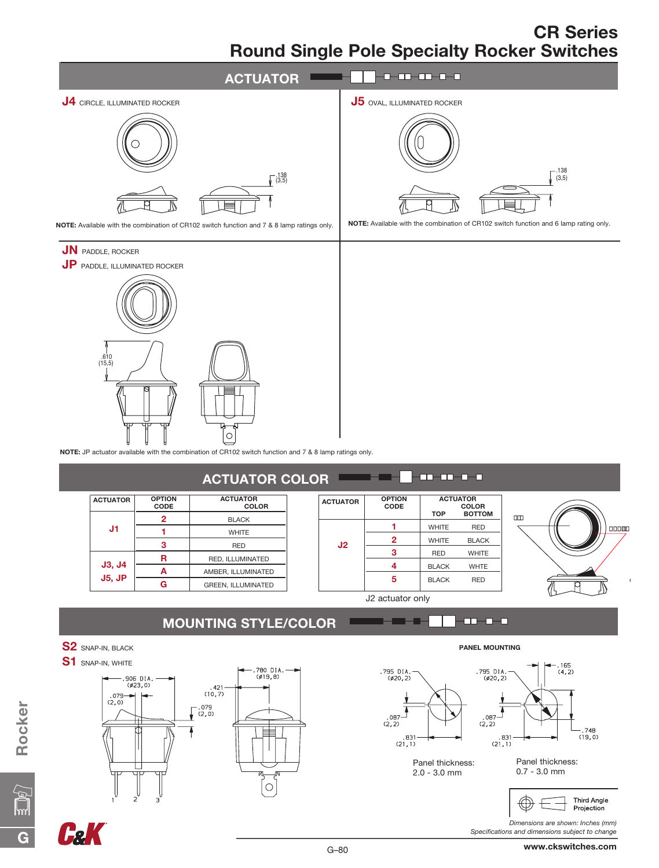

G–80

Panel thickness: 2.0 - 3.0 mm

 $.831$ <br>(21, 1)

- . 748<br>(19, 0)  $.831$ <br>(21, 1) Panel thickness: 0.7 - 3.0 mm

> Third Angle Projection

*Dimensions are shown: Inches (mm) Specifications and dimensions subject to change*









**FRK**